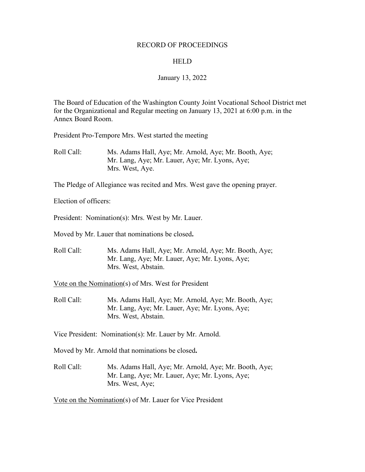#### RECORD OF PROCEEDINGS

#### **HELD**

#### January 13, 2022

The Board of Education of the Washington County Joint Vocational School District met for the Organizational and Regular meeting on January 13, 2021 at 6:00 p.m. in the Annex Board Room.

President Pro-Tempore Mrs. West started the meeting

Roll Call: Ms. Adams Hall, Aye; Mr. Arnold, Aye; Mr. Booth, Aye; Mr. Lang, Aye; Mr. Lauer, Aye; Mr. Lyons, Aye; Mrs. West, Aye.

The Pledge of Allegiance was recited and Mrs. West gave the opening prayer.

Election of officers:

President: Nomination(s): Mrs. West by Mr. Lauer.

Moved by Mr. Lauer that nominations be closed**.**

Roll Call: Ms. Adams Hall, Aye; Mr. Arnold, Aye; Mr. Booth, Aye; Mr. Lang, Aye; Mr. Lauer, Aye; Mr. Lyons, Aye; Mrs. West, Abstain.

Vote on the Nomination(s) of Mrs. West for President

Roll Call: Ms. Adams Hall, Aye; Mr. Arnold, Aye; Mr. Booth, Aye; Mr. Lang, Aye; Mr. Lauer, Aye; Mr. Lyons, Aye; Mrs. West, Abstain.

Vice President: Nomination(s): Mr. Lauer by Mr. Arnold.

Moved by Mr. Arnold that nominations be closed**.**

Roll Call: Ms. Adams Hall, Aye; Mr. Arnold, Aye; Mr. Booth, Aye; Mr. Lang, Aye; Mr. Lauer, Aye; Mr. Lyons, Aye; Mrs. West, Aye;

Vote on the Nomination(s) of Mr. Lauer for Vice President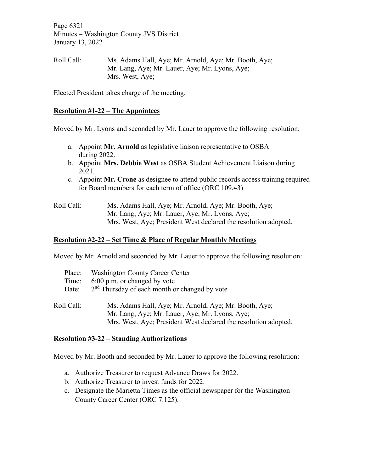Page 6321 Minutes – Washington County JVS District January 13, 2022

Roll Call: Ms. Adams Hall, Aye; Mr. Arnold, Aye; Mr. Booth, Aye; Mr. Lang, Aye; Mr. Lauer, Aye; Mr. Lyons, Aye; Mrs. West, Aye;

Elected President takes charge of the meeting.

### **Resolution #1-22 – The Appointees**

Moved by Mr. Lyons and seconded by Mr. Lauer to approve the following resolution:

- a. Appoint **Mr. Arnold** as legislative liaison representative to OSBA during 2022.
- b. Appoint **Mrs. Debbie West** as OSBA Student Achievement Liaison during 2021.
- c. Appoint **Mr. Crone** as designee to attend public records access training required for Board members for each term of office (ORC 109.43)

| Roll Call: | Ms. Adams Hall, Aye; Mr. Arnold, Aye; Mr. Booth, Aye;           |
|------------|-----------------------------------------------------------------|
|            | Mr. Lang, Aye; Mr. Lauer, Aye; Mr. Lyons, Aye;                  |
|            | Mrs. West, Aye; President West declared the resolution adopted. |

### **Resolution #2-22 – Set Time & Place of Regular Monthly Meetings**

Moved by Mr. Arnold and seconded by Mr. Lauer to approve the following resolution:

| Place:     | <b>Washington County Career Center</b>                          |
|------------|-----------------------------------------------------------------|
| Time:      | 6:00 p.m. or changed by vote                                    |
| Date:      | 2 <sup>nd</sup> Thursday of each month or changed by vote       |
|            |                                                                 |
| Roll Call: | Ms. Adams Hall, Aye; Mr. Arnold, Aye; Mr. Booth, Aye;           |
|            | Mr. Lang, Aye; Mr. Lauer, Aye; Mr. Lyons, Aye;                  |
|            | Mrs. West, Aye; President West declared the resolution adopted. |

### **Resolution #3-22 – Standing Authorizations**

Moved by Mr. Booth and seconded by Mr. Lauer to approve the following resolution:

- a. Authorize Treasurer to request Advance Draws for 2022.
- b. Authorize Treasurer to invest funds for 2022.
- c. Designate the Marietta Times as the official newspaper for the Washington County Career Center (ORC 7.125).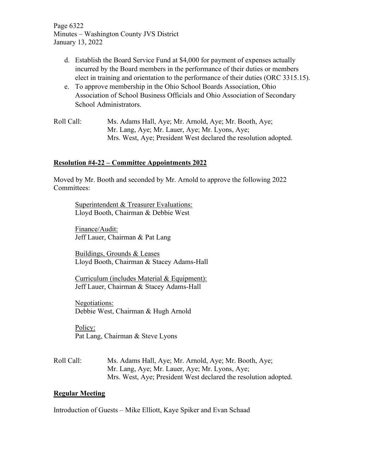Page 6322 Minutes – Washington County JVS District January 13, 2022

- d. Establish the Board Service Fund at \$4,000 for payment of expenses actually incurred by the Board members in the performance of their duties or members elect in training and orientation to the performance of their duties (ORC 3315.15).
- e. To approve membership in the Ohio School Boards Association, Ohio Association of School Business Officials and Ohio Association of Secondary School Administrators.
- Roll Call: Ms. Adams Hall, Aye; Mr. Arnold, Aye; Mr. Booth, Aye; Mr. Lang, Aye; Mr. Lauer, Aye; Mr. Lyons, Aye; Mrs. West, Aye; President West declared the resolution adopted.

## **Resolution #4-22 – Committee Appointments 2022**

Moved by Mr. Booth and seconded by Mr. Arnold to approve the following 2022 Committees:

Superintendent & Treasurer Evaluations: Lloyd Booth, Chairman & Debbie West

Finance/Audit: Jeff Lauer, Chairman & Pat Lang

Buildings, Grounds & Leases Lloyd Booth, Chairman & Stacey Adams-Hall

Curriculum (includes Material & Equipment): Jeff Lauer, Chairman & Stacey Adams-Hall

Negotiations: Debbie West, Chairman & Hugh Arnold

Policy: Pat Lang, Chairman & Steve Lyons

Roll Call: Ms. Adams Hall, Aye; Mr. Arnold, Aye; Mr. Booth, Aye; Mr. Lang, Aye; Mr. Lauer, Aye; Mr. Lyons, Aye; Mrs. West, Aye; President West declared the resolution adopted.

### **Regular Meeting**

Introduction of Guests – Mike Elliott, Kaye Spiker and Evan Schaad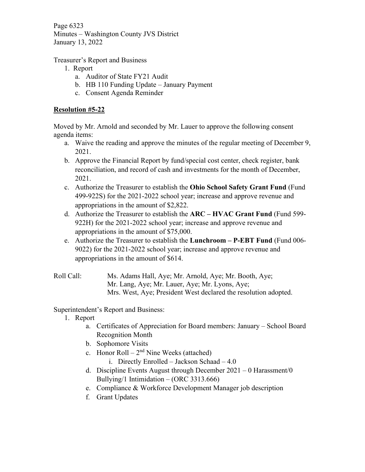Page 6323 Minutes – Washington County JVS District January 13, 2022

Treasurer's Report and Business

- 1. Report
	- a. Auditor of State FY21 Audit
	- b. HB 110 Funding Update January Payment
	- c. Consent Agenda Reminder

# **Resolution #5-22**

Moved by Mr. Arnold and seconded by Mr. Lauer to approve the following consent agenda items:

- a. Waive the reading and approve the minutes of the regular meeting of December 9, 2021.
- b. Approve the Financial Report by fund/special cost center, check register, bank reconciliation, and record of cash and investments for the month of December, 2021.
- c. Authorize the Treasurer to establish the **Ohio School Safety Grant Fund** (Fund 499-922S) for the 2021-2022 school year; increase and approve revenue and appropriations in the amount of \$2,822.
- d. Authorize the Treasurer to establish the **ARC – HVAC Grant Fund** (Fund 599- 922H) for the 2021-2022 school year; increase and approve revenue and appropriations in the amount of \$75,000.
- e. Authorize the Treasurer to establish the **Lunchroom – P-EBT Fund** (Fund 006- 9022) for the 2021-2022 school year; increase and approve revenue and appropriations in the amount of \$614.

Roll Call: Ms. Adams Hall, Aye; Mr. Arnold, Aye; Mr. Booth, Aye; Mr. Lang, Aye; Mr. Lauer, Aye; Mr. Lyons, Aye; Mrs. West, Aye; President West declared the resolution adopted.

Superintendent's Report and Business:

- 1. Report
	- a. Certificates of Appreciation for Board members: January School Board Recognition Month
	- b. Sophomore Visits
	- c. Honor Roll  $2<sup>nd</sup>$  Nine Weeks (attached)
		- i. Directly Enrolled Jackson Schaad 4.0
	- d. Discipline Events August through December 2021 0 Harassment/0 Bullying/1 Intimidation – (ORC 3313.666)
	- e. Compliance & Workforce Development Manager job description
	- f. Grant Updates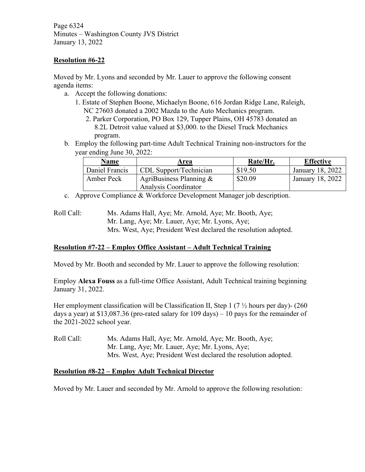Page 6324 Minutes – Washington County JVS District January 13, 2022

### **Resolution #6-22**

Moved by Mr. Lyons and seconded by Mr. Lauer to approve the following consent agenda items:

- a. Accept the following donations:
	- 1. Estate of Stephen Boone, Michaelyn Boone, 616 Jordan Ridge Lane, Raleigh, NC 27603 donated a 2002 Mazda to the Auto Mechanics program.
		- 2. Parker Corporation, PO Box 129, Tupper Plains, OH 45783 donated an 8.2L Detroit value valued at \$3,000. to the Diesel Truck Mechanics program.
- b. Employ the following part-time Adult Technical Training non-instructors for the year ending June 30, 2022:

| Name           | Area                       | Rate/Hr. | <b>Effective</b> |
|----------------|----------------------------|----------|------------------|
| Daniel Francis | CDL Support/Technician     | \$19.50  | January 18, 2022 |
| Amber Peck     | AgriBusiness Planning $\&$ | \$20.09  | January 18, 2022 |
|                | Analysis Coordinator       |          |                  |

c. Approve Compliance & Workforce Development Manager job description.

## **Resolution #7-22 – Employ Office Assistant – Adult Technical Training**

Moved by Mr. Booth and seconded by Mr. Lauer to approve the following resolution:

Employ **Alexa Fouss** as a full-time Office Assistant, Adult Technical training beginning January 31, 2022.

Her employment classification will be Classification II, Step 1 (7  $\frac{1}{2}$  hours per day)- (260 days a year) at \$13,087.36 (pro-rated salary for 109 days) – 10 pays for the remainder of the 2021-2022 school year.

Roll Call: Ms. Adams Hall, Aye; Mr. Arnold, Aye; Mr. Booth, Aye; Mr. Lang, Aye; Mr. Lauer, Aye; Mr. Lyons, Aye; Mrs. West, Aye; President West declared the resolution adopted.

### **Resolution #8-22 – Employ Adult Technical Director**

Moved by Mr. Lauer and seconded by Mr. Arnold to approve the following resolution:

Roll Call: Ms. Adams Hall, Aye; Mr. Arnold, Aye; Mr. Booth, Aye; Mr. Lang, Aye; Mr. Lauer, Aye; Mr. Lyons, Aye; Mrs. West, Aye; President West declared the resolution adopted.